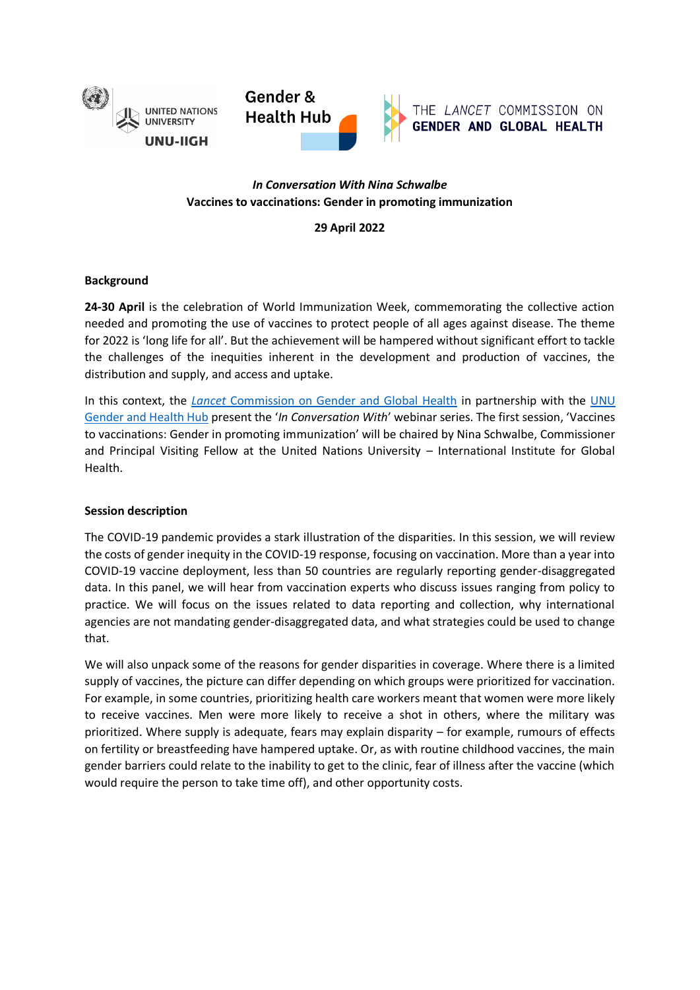





### *In Conversation With Nina Schwalbe*  **Vaccines to vaccinations: Gender in promoting immunization**

**29 April 2022**

### **Background**

**24-30 April** is the celebration of World Immunization Week, commemorating the collective action needed and promoting the use of vaccines to protect people of all ages against disease. The theme for 2022 is 'long life for all'. But the achievement will be hampered without significant effort to tackle the challenges of the inequities inherent in the development and production of vaccines, the distribution and supply, and access and uptake.

In this context, the *Lancet* [Commission on Gender and Global Health](https://genderandhealthcommission.org/) in partnership with the [UNU](https://www.genderhealthhub.org/)  [Gender and Health Hub](https://www.genderhealthhub.org/) present the '*In Conversation With*' webinar series. The first session, 'Vaccines to vaccinations: Gender in promoting immunization' will be chaired by Nina Schwalbe, Commissioner and Principal Visiting Fellow at the United Nations University – International Institute for Global Health.

#### **Session description**

The COVID-19 pandemic provides a stark illustration of the disparities. In this session, we will review the costs of gender inequity in the COVID-19 response, focusing on vaccination. More than a year into COVID-19 vaccine deployment, less than 50 countries are regularly reporting gender-disaggregated data. In this panel, we will hear from vaccination experts who discuss issues ranging from policy to practice. We will focus on the issues related to data reporting and collection, why international agencies are not mandating gender-disaggregated data, and what strategies could be used to change that.

We will also unpack some of the reasons for gender disparities in coverage. Where there is a limited supply of vaccines, the picture can differ depending on which groups were prioritized for vaccination. For example, in some countries, prioritizing health care workers meant that women were more likely to receive vaccines. Men were more likely to receive a shot in others, where the military was prioritized. Where supply is adequate, fears may explain disparity – for example, rumours of effects on fertility or breastfeeding have hampered uptake. Or, as with routine childhood vaccines, the main gender barriers could relate to the inability to get to the clinic, fear of illness after the vaccine (which would require the person to take time off), and other opportunity costs.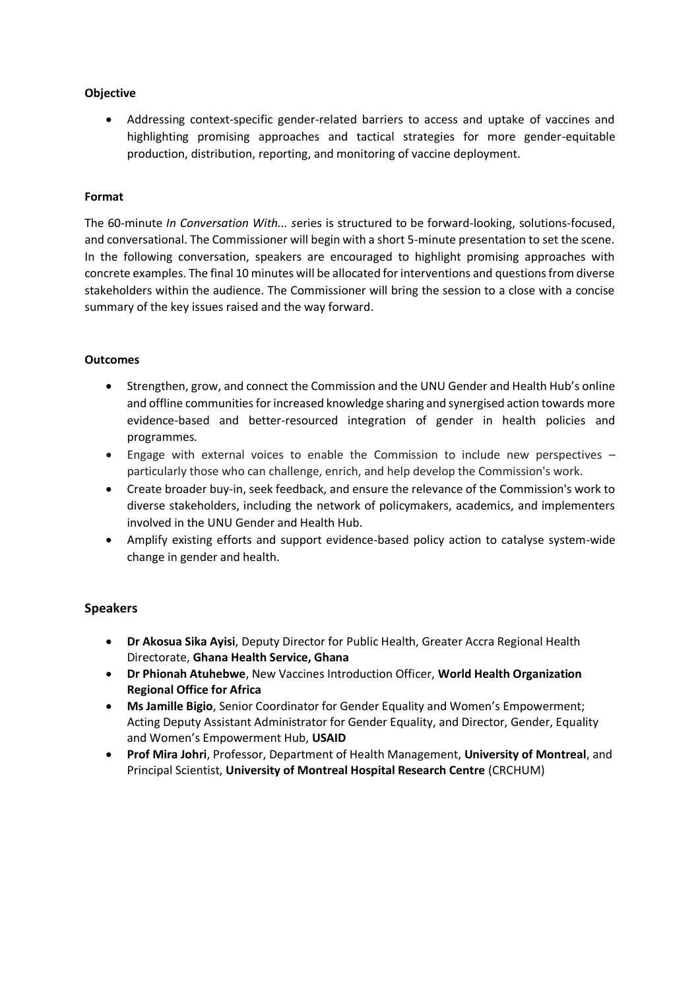### **Objective**

• Addressing context-specific gender-related barriers to access and uptake of vaccines and highlighting promising approaches and tactical strategies for more gender-equitable production, distribution, reporting, and monitoring of vaccine deployment.

### **Format**

The 60-minute *In Conversation With... s*eries is structured to be forward-looking, solutions-focused, and conversational. The Commissioner will begin with a short 5-minute presentation to set the scene. In the following conversation, speakers are encouraged to highlight promising approaches with concrete examples. The final 10 minutes will be allocated for interventions and questions from diverse stakeholders within the audience. The Commissioner will bring the session to a close with a concise summary of the key issues raised and the way forward.

### **Outcomes**

- Strengthen, grow, and connect the Commission and the UNU Gender and Health Hub's online and offline communities for increased knowledge sharing and synergised action towards more evidence-based and better-resourced integration of gender in health policies and programmes.
- Engage with external voices to enable the Commission to include new perspectives particularly those who can challenge, enrich, and help develop the Commission's work.
- Create broader buy-in, seek feedback, and ensure the relevance of the Commission's work to diverse stakeholders, including the network of policymakers, academics, and implementers involved in the UNU Gender and Health Hub.
- Amplify existing efforts and support evidence-based policy action to catalyse system-wide change in gender and health.

## **Speakers**

- **Dr Akosua Sika Ayisi**, Deputy Director for Public Health, Greater Accra Regional Health Directorate, **Ghana Health Service, Ghana**
- **Dr Phionah Atuhebwe**, New Vaccines Introduction Officer, **World Health Organization Regional Office for Africa**
- **Ms Jamille Bigio**, Senior Coordinator for Gender Equality and Women's Empowerment; Acting Deputy Assistant Administrator for Gender Equality, and Director, Gender, Equality and Women's Empowerment Hub, **USAID**
- **Prof Mira Johri**, Professor, Department of Health Management, **University of Montreal**, and Principal Scientist, **University of Montreal Hospital Research Centre** (CRCHUM)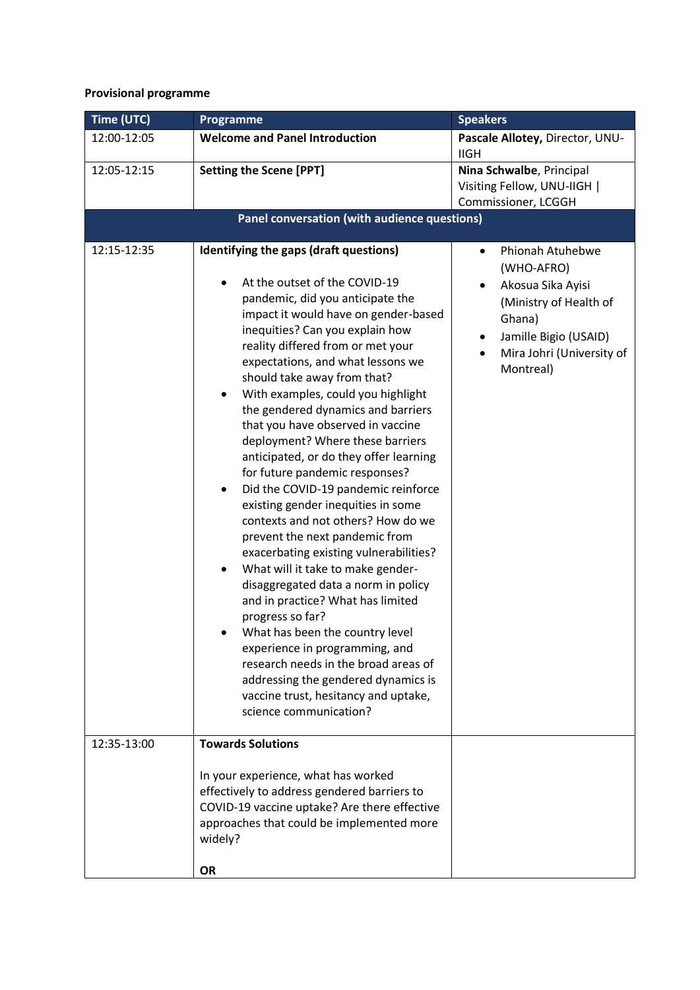# **Provisional programme**

| Time (UTC)                                   | Programme                                                                                                                                                                                                                                                                                                                                                                                                                                                                                                                                                                                                                                                                                                                                                                                                                                                                                                                                                                                                                                                                                                                 | <b>Speakers</b>                                                                                                                                                              |
|----------------------------------------------|---------------------------------------------------------------------------------------------------------------------------------------------------------------------------------------------------------------------------------------------------------------------------------------------------------------------------------------------------------------------------------------------------------------------------------------------------------------------------------------------------------------------------------------------------------------------------------------------------------------------------------------------------------------------------------------------------------------------------------------------------------------------------------------------------------------------------------------------------------------------------------------------------------------------------------------------------------------------------------------------------------------------------------------------------------------------------------------------------------------------------|------------------------------------------------------------------------------------------------------------------------------------------------------------------------------|
| 12:00-12:05                                  | <b>Welcome and Panel Introduction</b>                                                                                                                                                                                                                                                                                                                                                                                                                                                                                                                                                                                                                                                                                                                                                                                                                                                                                                                                                                                                                                                                                     | Pascale Allotey, Director, UNU-<br><b>IIGH</b>                                                                                                                               |
| 12:05-12:15                                  | <b>Setting the Scene [PPT]</b>                                                                                                                                                                                                                                                                                                                                                                                                                                                                                                                                                                                                                                                                                                                                                                                                                                                                                                                                                                                                                                                                                            | Nina Schwalbe, Principal<br>Visiting Fellow, UNU-IIGH  <br>Commissioner, LCGGH                                                                                               |
| Panel conversation (with audience questions) |                                                                                                                                                                                                                                                                                                                                                                                                                                                                                                                                                                                                                                                                                                                                                                                                                                                                                                                                                                                                                                                                                                                           |                                                                                                                                                                              |
| 12:15-12:35                                  | Identifying the gaps (draft questions)<br>At the outset of the COVID-19<br>pandemic, did you anticipate the<br>impact it would have on gender-based<br>inequities? Can you explain how<br>reality differed from or met your<br>expectations, and what lessons we<br>should take away from that?<br>With examples, could you highlight<br>$\bullet$<br>the gendered dynamics and barriers<br>that you have observed in vaccine<br>deployment? Where these barriers<br>anticipated, or do they offer learning<br>for future pandemic responses?<br>Did the COVID-19 pandemic reinforce<br>٠<br>existing gender inequities in some<br>contexts and not others? How do we<br>prevent the next pandemic from<br>exacerbating existing vulnerabilities?<br>What will it take to make gender-<br>$\bullet$<br>disaggregated data a norm in policy<br>and in practice? What has limited<br>progress so far?<br>What has been the country level<br>experience in programming, and<br>research needs in the broad areas of<br>addressing the gendered dynamics is<br>vaccine trust, hesitancy and uptake,<br>science communication? | Phionah Atuhebwe<br>$\bullet$<br>(WHO-AFRO)<br>Akosua Sika Ayisi<br>(Ministry of Health of<br>Ghana)<br>Jamille Bigio (USAID)<br>٠<br>Mira Johri (University of<br>Montreal) |
| 12:35-13:00                                  | <b>Towards Solutions</b><br>In your experience, what has worked<br>effectively to address gendered barriers to<br>COVID-19 vaccine uptake? Are there effective<br>approaches that could be implemented more<br>widely?<br><b>OR</b>                                                                                                                                                                                                                                                                                                                                                                                                                                                                                                                                                                                                                                                                                                                                                                                                                                                                                       |                                                                                                                                                                              |